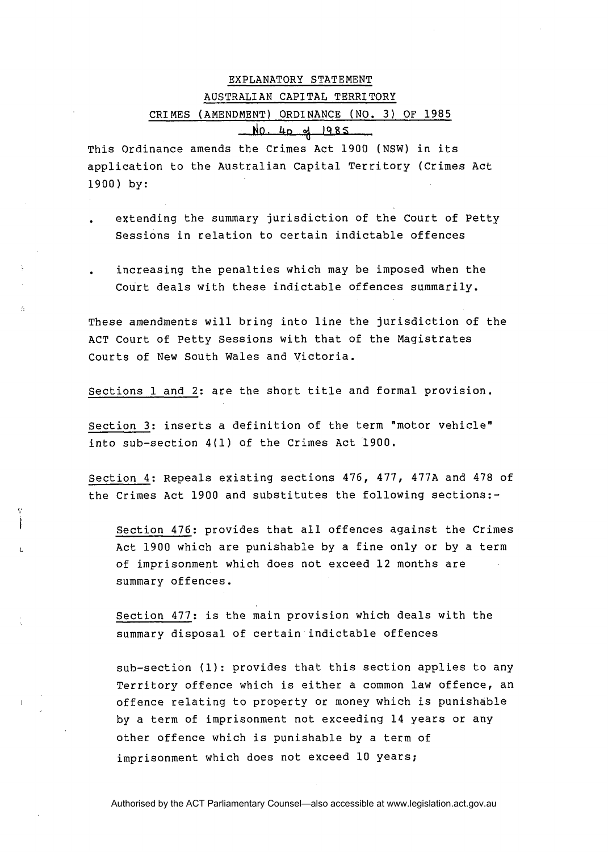## EXPLANATORY STATEMENT AUSTRAL1 AN CAP1 TAL TERRITORY EXPLANATORY STATEMENT<br>
AUSTRALIAN CAPITAL TERRITORY<br>
CRIMES (AMENDMENT) ORDINANCE (NO. 3) OF 1985<br>
AO. 4p of 1985<br>
mance amends the Crimes Act 1900 (NSW) in its<br>
on to the Australian Capital Territory (Crimes Act<br>
ding the

This Ordinance amends the Crimes Act 1900 (NSW) in its application to the Australian Capital Territory (Crimes Act 1900) by:

- . extending the summary jurisdiction of the Court of Petty Sessions in relation to certain indictable offences
- . increasing the penalties which may be imposed when the Court deals with these indictable offences summarily.

These amendments will bring into line the jurisdiction of the ACT Court of Petty Sessions with that of the Magistrates Courts of New South Wales and Victoria.

Sections 1 and 2: are the short title and formal provision.

Section 3: inserts a definition of the term "motor vehicle" into sub-section 4(1) of the Crimes Act 1900.

Section 4: Repeals existing sections 476, 477, 477A and 478 of the Crimes Act 1900 and substitutes the following sections:-

Section 476: provides that all offences against the Crimes Act 1900 which are punishable by a fine only or by a term of imprisonment which does not exceed 12 months are summary offences.

Section 477: is the main provision which deals with the summary disposal of certain indictable offences

sub-section (1): provides that this section applies to any Territory offence which is either a common law offence, an offence relating to property or money which is punishable by a term of imprisonment not exceeding 14 years or any other offence which is punishable by a term of imprisonment which does not exceed 10 years;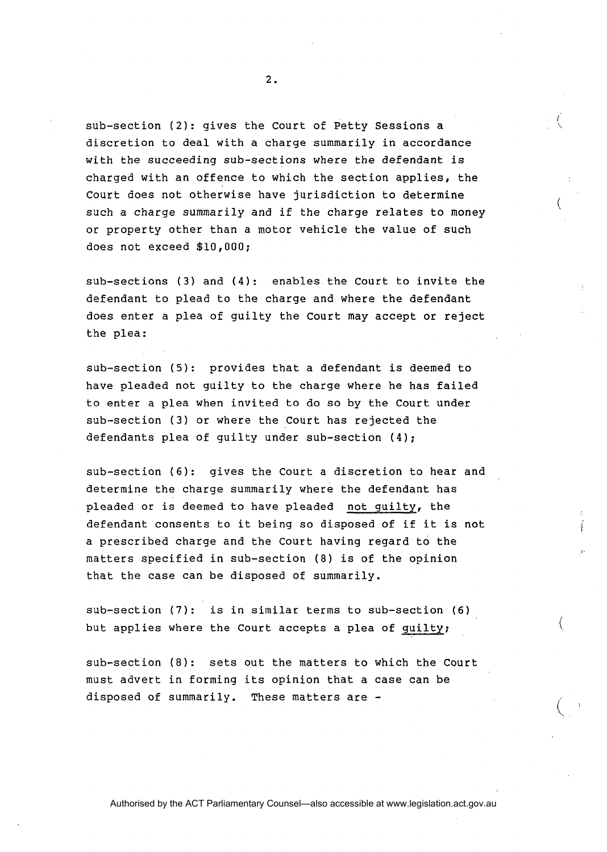sub-section **(2):** gives the Court of Petty Sessions a discretion to deal with a charge summarily in accordance with the succeeding sub-sections where the defendant is charged with an offence to which the section applies, the Court does not otherwise have jurisdiction to determine such a charge summarily and if the charge relates to money or property other than a motor vehicle the value of such does not exceed \$10,000;

sub-sections (3) and (4): enables the Court to invite the defendant to plead to the charge and where the defendant does enter a plea of guilty the Court may accept or reject the plea:

sub-section (5): provides that a defendant is deemed to have pleaded not guilty to the charge where he has failed to enter **a** plea when invited to do so by the Court under sub-section (3) or where the Court has rejected the defendants plea of guilty under sub-section (4);

sub-section (6): gives the Court a discretion to hear and determine the charge summarily where the defendant has pleaded or is deemed to have pleaded not guilty, the defendant consents to it being so disposed of if it is not a prescribed charge and the Court having regard to the matters specified in sub-section (8) is of the opinion that the case can be disposed of summarily.

sub-section (7): is in similar terms to sub-section (6) but applies where the Court accepts a plea of guilty;

sub-section **(8):** sets out the matters to which the Court must advert in forming its opinion that a case can be disposed of summarily. These matters are -

 $\overline{2}$ .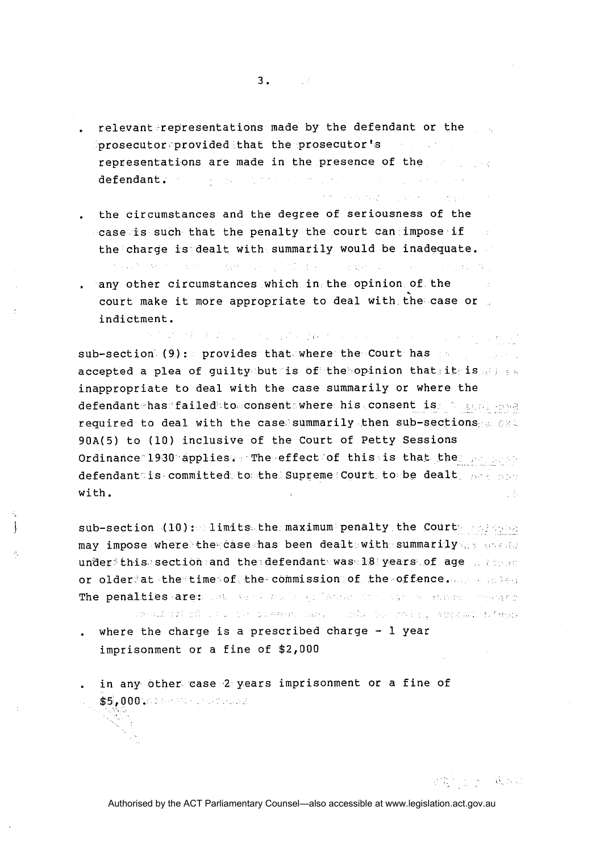- . relevant representations made by the defendant or the  $\mathbf{p}$  prosecutor $\mathbf{p}$  provided that the prosecutor's representations are made in the presence of the services  $\frac{1}{2}$  , which is the  $\frac{1}{2}$ defendant. The property of the state
- . the circumstances and the degree of seriousness of the case is such that the penalty the court can impose if the charge is dealt with summarily would be inadequate.  $\sim 10^{-1}$
- . any other circumstances which in the opinion of the .<br>. court make it more appropriate to deal with the case or indictment.

with the self-control of the control of the state of the control of the control of the state of sub-section (9): provides that where the Court has accepted a plea of guilty but is of the opinion that it is a set inappropriate to deal with the case summarily or where the defendant has failed to consent where his consent is a same over required to deal with the case summarily then sub-sections  $\alpha$ 90A(5) to (10) inclusive of the Court of Petty Sessions Ordinance 1930 applies. The effect of this is that the propose defendant is committed to the Supreme Court to be dealt; not conwith.

sub-section (10): limits the maximum penalty the Court relation may impose where the case has been dealt with summarily and deal under this section and the defendant was 18 years of age allows or older at the time of the commission of the offence. An a material The penalties are: Seat Age I had a selection of the same compare

. Sould are seen the charge is a prescribed charge - 1 year where the charge is a prescribed charge - 1 year

- imprisonment or a fine of \$2,000
- . in any other case 2 years imprisonment or a fine of \$5,000.000 million and all

医肾上腺素 ( ) ( ) ( ) ( ) ( )